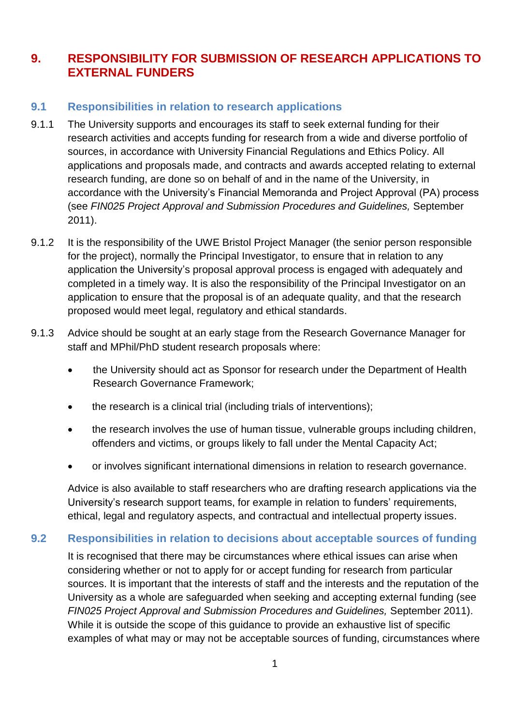## **9. RESPONSIBILITY FOR SUBMISSION OF RESEARCH APPLICATIONS TO EXTERNAL FUNDERS**

## **9.1 Responsibilities in relation to research applications**

- 9.1.1 The University supports and encourages its staff to seek external funding for their research activities and accepts funding for research from a wide and diverse portfolio of sources, in accordance with University Financial Regulations and Ethics Policy. All applications and proposals made, and contracts and awards accepted relating to external research funding, are done so on behalf of and in the name of the University, in accordance with the University's Financial Memoranda and Project Approval (PA) process (see *FIN025 Project Approval and Submission Procedures and Guidelines,* September 2011).
- 9.1.2 It is the responsibility of the UWE Bristol Project Manager (the senior person responsible for the project), normally the Principal Investigator, to ensure that in relation to any application the University's proposal approval process is engaged with adequately and completed in a timely way. It is also the responsibility of the Principal Investigator on an application to ensure that the proposal is of an adequate quality, and that the research proposed would meet legal, regulatory and ethical standards.
- 9.1.3 Advice should be sought at an early stage from the Research Governance Manager for staff and MPhil/PhD student research proposals where:
	- the University should act as Sponsor for research under the Department of Health Research Governance Framework;
	- the research is a clinical trial (including trials of interventions);
	- the research involves the use of human tissue, vulnerable groups including children, offenders and victims, or groups likely to fall under the Mental Capacity Act;
	- or involves significant international dimensions in relation to research governance.

Advice is also available to staff researchers who are drafting research applications via the University's research support teams, for example in relation to funders' requirements, ethical, legal and regulatory aspects, and contractual and intellectual property issues.

## **9.2 Responsibilities in relation to decisions about acceptable sources of funding**

It is recognised that there may be circumstances where ethical issues can arise when considering whether or not to apply for or accept funding for research from particular sources. It is important that the interests of staff and the interests and the reputation of the University as a whole are safeguarded when seeking and accepting external funding (see *FIN025 Project Approval and Submission Procedures and Guidelines,* September 2011). While it is outside the scope of this guidance to provide an exhaustive list of specific examples of what may or may not be acceptable sources of funding, circumstances where